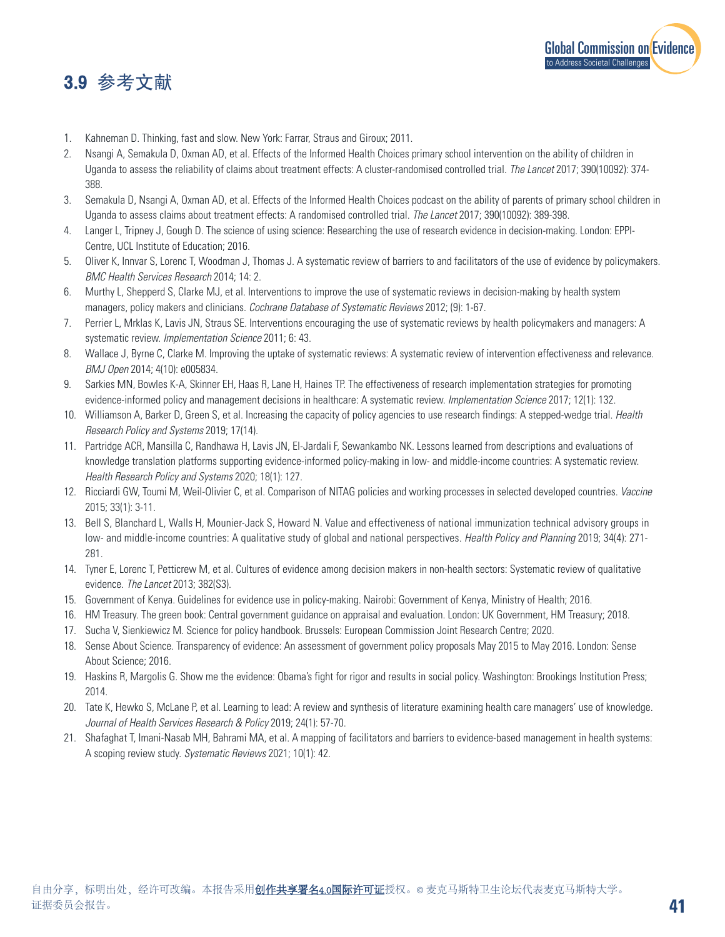## 3.9 参考文献



- 1. Kahneman D. Thinking, fast and slow. New York: Farrar, Straus and Giroux; 2011.
- 2. Nsangi A, Semakula D, Oxman AD, et al. Effects of the Informed Health Choices primary school intervention on the ability of children in Uganda to assess the reliability of claims about treatment effects: A cluster-randomised controlled trial. *The Lancet* 2017; 390(10092): 374- 388.
- 3. Semakula D, Nsangi A, Oxman AD, et al. Effects of the Informed Health Choices podcast on the ability of parents of primary school children in Uganda to assess claims about treatment effects: A randomised controlled trial. *The Lancet* 2017; 390(10092): 389-398.
- 4. Langer L, Tripney J, Gough D. The science of using science: Researching the use of research evidence in decision-making. London: EPPI-Centre, UCL Institute of Education; 2016.
- 5. Oliver K, Innvar S, Lorenc T, Woodman J, Thomas J. A systematic review of barriers to and facilitators of the use of evidence by policymakers. *BMC Health Services Research* 2014; 14: 2.
- 6. Murthy L, Shepperd S, Clarke MJ, et al. Interventions to improve the use of systematic reviews in decision-making by health system managers, policy makers and clinicians. *Cochrane Database of Systematic Reviews* 2012; (9): 1-67.
- 7. Perrier L, Mrklas K, Lavis JN, Straus SE. Interventions encouraging the use of systematic reviews by health policymakers and managers: A systematic review. *Implementation Science* 2011; 6: 43.
- 8. Wallace J, Byrne C, Clarke M. Improving the uptake of systematic reviews: A systematic review of intervention effectiveness and relevance. *BMJ Open* 2014; 4(10): e005834.
- 9. Sarkies MN, Bowles K-A, Skinner EH, Haas R, Lane H, Haines TP. The effectiveness of research implementation strategies for promoting evidence-informed policy and management decisions in healthcare: A systematic review. *Implementation Science* 2017; 12(1): 132.
- 10. Williamson A, Barker D, Green S, et al. Increasing the capacity of policy agencies to use research findings: A stepped-wedge trial. *Health Research Policy and Systems* 2019; 17(14).
- 11. Partridge ACR, Mansilla C, Randhawa H, Lavis JN, El-Jardali F, Sewankambo NK. Lessons learned from descriptions and evaluations of knowledge translation platforms supporting evidence-informed policy-making in low- and middle-income countries: A systematic review. *Health Research Policy and Systems* 2020; 18(1): 127.
- 12. Ricciardi GW, Toumi M, Weil-Olivier C, et al. Comparison of NITAG policies and working processes in selected developed countries. *Vaccine* 2015; 33(1): 3-11.
- 13. Bell S, Blanchard L, Walls H, Mounier-Jack S, Howard N. Value and effectiveness of national immunization technical advisory groups in low- and middle-income countries: A qualitative study of global and national perspectives. *Health Policy and Planning* 2019; 34(4): 271- 281.
- 14. Tyner E, Lorenc T, Petticrew M, et al. Cultures of evidence among decision makers in non-health sectors: Systematic review of qualitative evidence. *The Lancet* 2013; 382(S3).
- 15. Government of Kenya. Guidelines for evidence use in policy-making. Nairobi: Government of Kenya, Ministry of Health; 2016.
- 16. HM Treasury. The green book: Central government guidance on appraisal and evaluation. London: UK Government, HM Treasury; 2018.
- 17. Sucha V, Sienkiewicz M. Science for policy handbook. Brussels: European Commission Joint Research Centre; 2020.
- 18. Sense About Science. Transparency of evidence: An assessment of government policy proposals May 2015 to May 2016. London: Sense About Science; 2016.
- 19. Haskins R, Margolis G. Show me the evidence: Obama's fight for rigor and results in social policy. Washington: Brookings Institution Press; 2014.
- 20. Tate K, Hewko S, McLane P, et al. Learning to lead: A review and synthesis of literature examining health care managers' use of knowledge. *Journal of Health Services Research & Policy* 2019; 24(1): 57-70.
- 21. Shafaghat T, Imani-Nasab MH, Bahrami MA, et al. A mapping of facilitators and barriers to evidence-based management in health systems: A scoping review study. *Systematic Reviews* 2021; 10(1): 42.